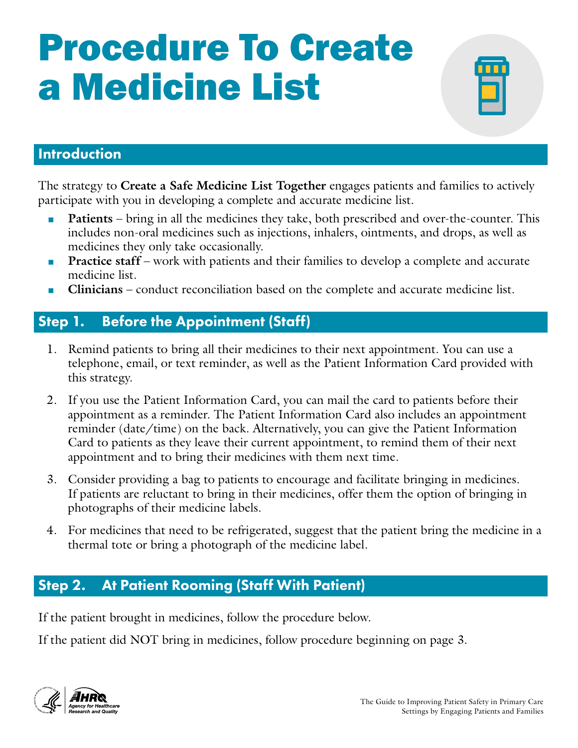# Procedure To Create a Medicine List



## Introduction

The strategy to **Create a Safe Medicine List Together** engages patients and families to actively participate with you in developing a complete and accurate medicine list.

- **Patients** bring in all the medicines they take, both prescribed and over-the-counter. This includes non-oral medicines such as injections, inhalers, ointments, and drops, as well as medicines they only take occasionally.
- **Practice staff** work with patients and their families to develop a complete and accurate medicine list.
- **Clinicians** conduct reconciliation based on the complete and accurate medicine list.

# Step 1. Before the Appointment (Staff)

- 1. Remind patients to bring all their medicines to their next appointment. You can use a telephone, email, or text reminder, as well as the Patient Information Card provided with this strategy.
- 2. If you use the Patient Information Card, you can mail the card to patients before their appointment as a reminder. The Patient Information Card also includes an appointment reminder (date/time) on the back. Alternatively, you can give the Patient Information Card to patients as they leave their current appointment, to remind them of their next appointment and to bring their medicines with them next time.
- 3. Consider providing a bag to patients to encourage and facilitate bringing in medicines. If patients are reluctant to bring in their medicines, offer them the option of bringing in photographs of their medicine labels.
- 4. For medicines that need to be refrigerated, suggest that the patient bring the medicine in a thermal tote or bring a photograph of the medicine label.

## Step 2. At Patient Rooming (Staff With Patient)

If the patient brought in medicines, follow the procedure below.

If the patient did NOT bring in medicines, follow procedure beginning on page 3.

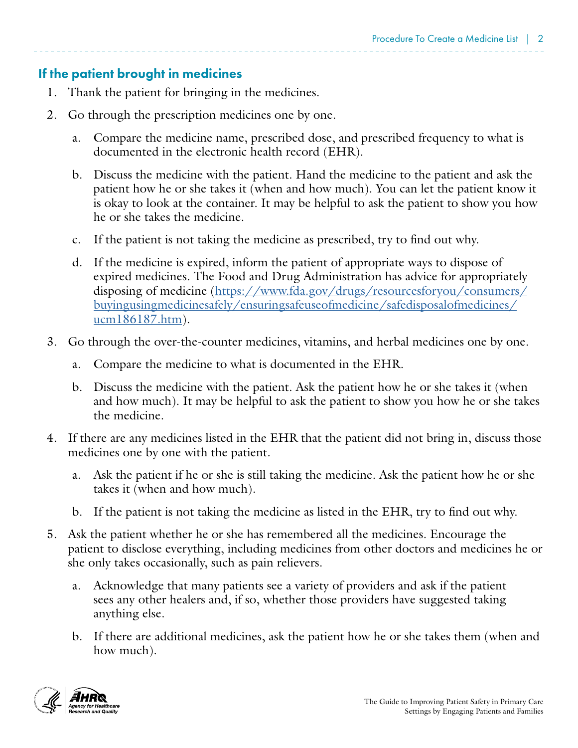#### If the patient brought in medicines

- 1. Thank the patient for bringing in the medicines.
- 2. Go through the prescription medicines one by one.
	- a. Compare the medicine name, prescribed dose, and prescribed frequency to what is documented in the electronic health record (EHR).
	- b. Discuss the medicine with the patient. Hand the medicine to the patient and ask the patient how he or she takes it (when and how much). You can let the patient know it is okay to look at the container. It may be helpful to ask the patient to show you how he or she takes the medicine.
	- c. If the patient is not taking the medicine as prescribed, try to find out why.
	- d. If the medicine is expired, inform the patient of appropriate ways to dispose of expired medicines. The Food and Drug Administration has advice for appropriately disposing of medicine ([https://www.fda.gov/drugs/resourcesforyou/consumers/](https://www.fda.gov/drugs/resourcesforyou/consumers/buyingusingmedicinesafely/ensuringsafeuseofmedicine/safedisposalofmedicines/ucm186187.htm) [buyingusingmedicinesafely/ensuringsafeuseofmedicine/safedisposalofmedicines/](https://www.fda.gov/drugs/resourcesforyou/consumers/buyingusingmedicinesafely/ensuringsafeuseofmedicine/safedisposalofmedicines/ucm186187.htm) [ucm186187.htm\)](https://www.fda.gov/drugs/resourcesforyou/consumers/buyingusingmedicinesafely/ensuringsafeuseofmedicine/safedisposalofmedicines/ucm186187.htm).
- 3. Go through the over-the-counter medicines, vitamins, and herbal medicines one by one.
	- a. Compare the medicine to what is documented in the EHR.
	- b. Discuss the medicine with the patient. Ask the patient how he or she takes it (when and how much). It may be helpful to ask the patient to show you how he or she takes the medicine.
- 4. If there are any medicines listed in the EHR that the patient did not bring in, discuss those medicines one by one with the patient.
	- a. Ask the patient if he or she is still taking the medicine. Ask the patient how he or she takes it (when and how much).
	- b. If the patient is not taking the medicine as listed in the EHR, try to find out why.
- 5. Ask the patient whether he or she has remembered all the medicines. Encourage the patient to disclose everything, including medicines from other doctors and medicines he or she only takes occasionally, such as pain relievers.
	- a. Acknowledge that many patients see a variety of providers and ask if the patient sees any other healers and, if so, whether those providers have suggested taking anything else.
	- b. If there are additional medicines, ask the patient how he or she takes them (when and how much).

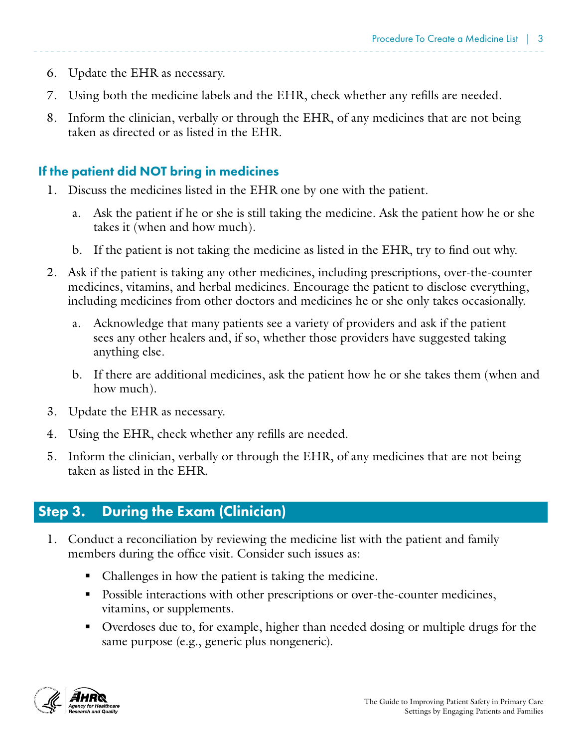- 6. Update the EHR as necessary.
- 7. Using both the medicine labels and the EHR, check whether any refills are needed.
- 8. Inform the clinician, verbally or through the EHR, of any medicines that are not being taken as directed or as listed in the EHR.

### If the patient did NOT bring in medicines

- 1. Discuss the medicines listed in the EHR one by one with the patient.
	- a. Ask the patient if he or she is still taking the medicine. Ask the patient how he or she takes it (when and how much).
	- b. If the patient is not taking the medicine as listed in the EHR, try to find out why.
- 2. Ask if the patient is taking any other medicines, including prescriptions, over-the-counter medicines, vitamins, and herbal medicines. Encourage the patient to disclose everything, including medicines from other doctors and medicines he or she only takes occasionally.
	- a. Acknowledge that many patients see a variety of providers and ask if the patient sees any other healers and, if so, whether those providers have suggested taking anything else.
	- b. If there are additional medicines, ask the patient how he or she takes them (when and how much).
- 3. Update the EHR as necessary.
- 4. Using the EHR, check whether any refills are needed.
- 5. Inform the clinician, verbally or through the EHR, of any medicines that are not being taken as listed in the EHR.

## Step 3. During the Exam (Clinician)

- 1. Conduct a reconciliation by reviewing the medicine list with the patient and family members during the office visit. Consider such issues as:
	- Challenges in how the patient is taking the medicine.
	- Possible interactions with other prescriptions or over-the-counter medicines, vitamins, or supplements.
	- Overdoses due to, for example, higher than needed dosing or multiple drugs for the same purpose (e.g., generic plus nongeneric).